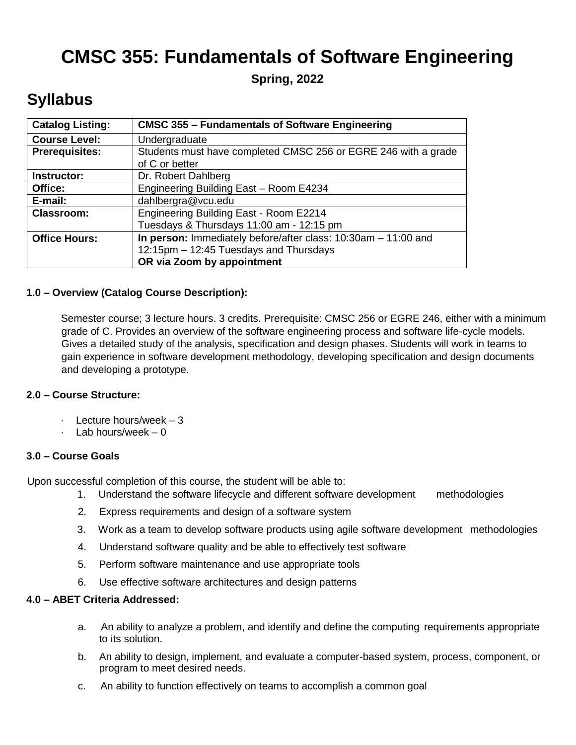# **CMSC 355: Fundamentals of Software Engineering**

**Spring, 2022**

# **Syllabus**

| <b>Catalog Listing:</b> | <b>CMSC 355 - Fundamentals of Software Engineering</b>         |
|-------------------------|----------------------------------------------------------------|
| <b>Course Level:</b>    | Undergraduate                                                  |
| <b>Prerequisites:</b>   | Students must have completed CMSC 256 or EGRE 246 with a grade |
|                         | of C or better                                                 |
| Instructor:             | Dr. Robert Dahlberg                                            |
| Office:                 | Engineering Building East - Room E4234                         |
| E-mail:                 | dahlbergra@vcu.edu                                             |
| <b>Classroom:</b>       | Engineering Building East - Room E2214                         |
|                         | Tuesdays & Thursdays 11:00 am - 12:15 pm                       |
| <b>Office Hours:</b>    | In person: Immediately before/after class: 10:30am - 11:00 and |
|                         | 12:15pm - 12:45 Tuesdays and Thursdays                         |
|                         | OR via Zoom by appointment                                     |

## **1.0 – Overview (Catalog Course Description):**

Semester course; 3 lecture hours. 3 credits. Prerequisite: CMSC 256 or EGRE 246, either with a minimum grade of C. Provides an overview of the software engineering process and software life-cycle models. Gives a detailed study of the analysis, specification and design phases. Students will work in teams to gain experience in software development methodology, developing specification and design documents and developing a prototype.

#### **2.0 – Course Structure:**

- · Lecture hours/week 3
- · Lab hours/week 0

#### **3.0 – Course Goals**

Upon successful completion of this course, the student will be able to:

- 1. Understand the software lifecycle and different software development methodologies
- 2. Express requirements and design of a software system
- 3. Work as a team to develop software products using agile software development methodologies
- 4. Understand software quality and be able to effectively test software
- 5. Perform software maintenance and use appropriate tools
- 6. Use effective software architectures and design patterns

#### **4.0 – ABET Criteria Addressed:**

- a. An ability to analyze a problem, and identify and define the computing requirements appropriate to its solution.
- b. An ability to design, implement, and evaluate a computer-based system, process, component, or program to meet desired needs.
- c. An ability to function effectively on teams to accomplish a common goal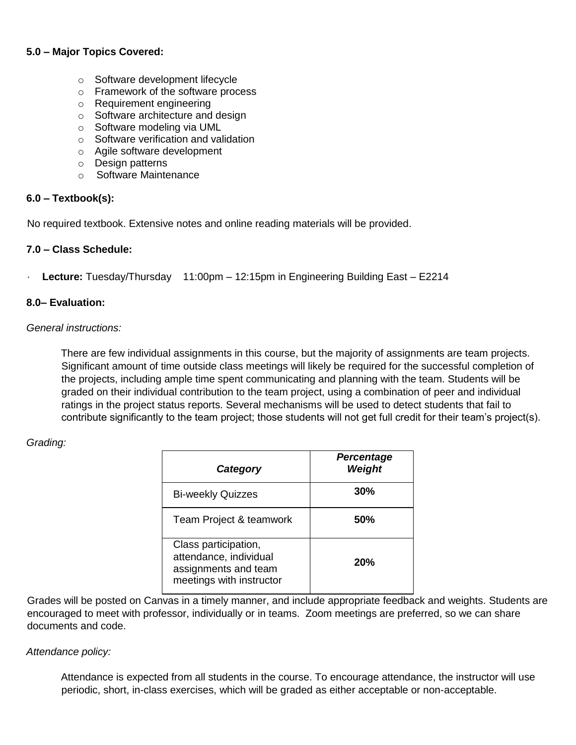## **5.0 – Major Topics Covered:**

- o Software development lifecycle
- o Framework of the software process
- o Requirement engineering
- o Software architecture and design
- o Software modeling via UML
- o Software verification and validation
- o Agile software development
- o Design patterns
- o Software Maintenance

#### **6.0 – Textbook(s):**

No required textbook. Extensive notes and online reading materials will be provided.

#### **7.0 – Class Schedule:**

· **Lecture:** Tuesday/Thursday 11:00pm – 12:15pm in Engineering Building East – E2214

#### **8.0– Evaluation:**

#### *General instructions:*

There are few individual assignments in this course, but the majority of assignments are team projects. Significant amount of time outside class meetings will likely be required for the successful completion of the projects, including ample time spent communicating and planning with the team. Students will be graded on their individual contribution to the team project, using a combination of peer and individual ratings in the project status reports. Several mechanisms will be used to detect students that fail to contribute significantly to the team project; those students will not get full credit for their team's project(s).

#### *Grading:*

| Category                                                                                           | Percentage<br>Weight |
|----------------------------------------------------------------------------------------------------|----------------------|
| <b>Bi-weekly Quizzes</b>                                                                           | 30%                  |
| Team Project & teamwork                                                                            | 50%                  |
| Class participation,<br>attendance, individual<br>assignments and team<br>meetings with instructor | 20%                  |

Grades will be posted on Canvas in a timely manner, and include appropriate feedback and weights. Students are encouraged to meet with professor, individually or in teams. Zoom meetings are preferred, so we can share documents and code.

#### *Attendance policy:*

Attendance is expected from all students in the course. To encourage attendance, the instructor will use periodic, short, in-class exercises, which will be graded as either acceptable or non-acceptable.